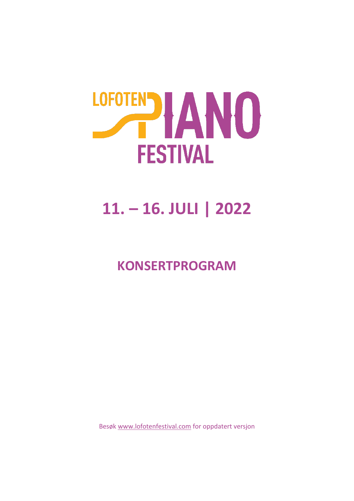

# **11. – 16. JULI | 2022**

### **KONSERTPROGRAM**

Besøk [www.lofotenfestival.com](http://www.lofotenfestival.com/) for oppdatert versjon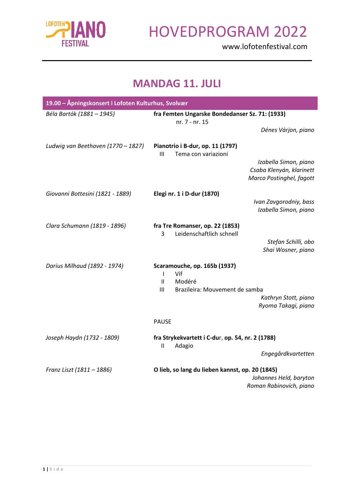

www.lofotenfestival.com

#### **MANDAG 11. JULI**

| 19.00 - Åpningskonsert i Lofoten Kulturhus, Svolvær |                                                                                                                                                                                            |
|-----------------------------------------------------|--------------------------------------------------------------------------------------------------------------------------------------------------------------------------------------------|
| Béla Bartók (1881 – 1945)                           | fra Femten Ungarske Bondedanser Sz. 71: (1933)<br>nr. 7 - nr. 15                                                                                                                           |
|                                                     | Dénes Várjon, piano                                                                                                                                                                        |
| Ludwig van Beethoven (1770 - 1827)                  | Pianotrio i B-dur, op. 11 (1797)<br>Tema con variazioni<br>Ш<br>Izabella Simon, piano<br>Csaba Klenyán, klarinett<br>Marco Postinghel, fagott                                              |
| Giovanni Bottesini (1821 - 1889)                    | Elegi nr. 1 i D-dur (1870)<br>Ivan Zavgorodniy, bass<br>Izabella Simon, piano                                                                                                              |
| Clara Schumann (1819 - 1896)                        | fra Tre Romanser, op. 22 (1853)<br>Leidenschaftlich schnell<br>3<br>Stefan Schilli, obo<br>Shai Wosner, piano                                                                              |
| Darius Milhaud (1892 - 1974)                        | <b>Scaramouche, op. 165b (1937)</b><br>Vif<br>$\mathbf{I}$<br>$\ensuremath{\mathsf{II}}$<br>Modéré<br>III<br>Brazileira: Mouvement de samba<br>Kathryn Stott, piano<br>Ryoma Takagi, piano |
|                                                     | <b>PAUSE</b>                                                                                                                                                                               |
| Joseph Haydn (1732 - 1809)                          | fra Strykekvartett i C-dur, op. 54, nr. 2 (1788)<br>Adagio<br>$\mathbf{H}$<br>Engegårdkvartetten                                                                                           |
| Franz Liszt (1811 - 1886)                           | O lieb, so lang du lieben kannst, op. 20 (1845)<br>Johannes Held, baryton<br>Roman Rabinovich, piano                                                                                       |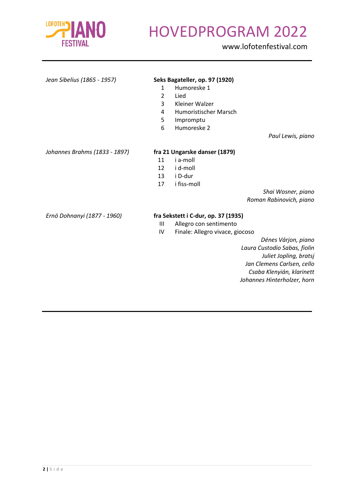

www.lofotenfestival.com

#### *Jean Sibelius (1865 - 1957)* **Seks Bagateller, op. 97 (1920)**

- 1 Humoreske 1
- 2 Lied
- 3 Kleiner Walzer
- 4 Humoristischer Marsch
- 5 Impromptu
- 6 Humoreske 2

*Paul Lewis, piano*

#### *Johannes Brahms (1833 - 1897)* **fra 21 Ungarske danser (1879)**

- 11 i a-moll
- 12 i d-moll
- 13 i D-dur
- 17 i fiss-moll

*Shai Wosner, piano Roman Rabinovich, piano*

#### *Ernö Dohnanyi (1877 - 1960)* **fra Sekstett i C-dur, op. 37 (1935)**

- III Allegro con sentimento<br>IV Finale: Allegro vivace. g
- Finale: Allegro vivace, giocoso

*Dénes Várjon, piano Laura Custodio Sabas, fiolin Juliet Jopling, bratsj Jan Clemens Carlsen, cello Csaba Klenyián, klarinett Johannes Hinterholzer, horn*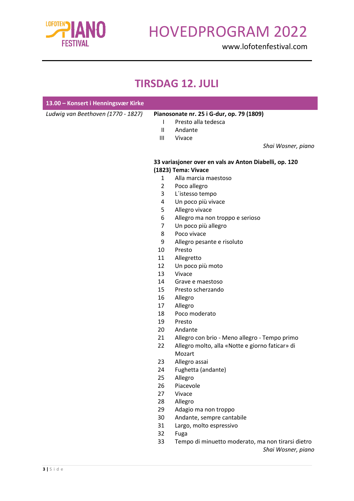

www.lofotenfestival.com

#### **TIRSDAG 12. JULI**

| 13.00 - Konsert i Henningsvær Kirke |                |                                                        |
|-------------------------------------|----------------|--------------------------------------------------------|
| Ludwig van Beethoven (1770 - 1827)  |                | Pianosonate nr. 25 i G-dur, op. 79 (1809)              |
|                                     | L              | Presto alla tedesca                                    |
|                                     | $\mathbf{H}$   | Andante                                                |
|                                     | Ш              | Vivace                                                 |
|                                     |                | Shai Wosner, piano                                     |
|                                     |                | 33 variasjoner over en vals av Anton Diabelli, op. 120 |
|                                     |                | (1823) Tema: Vivace                                    |
|                                     | $\mathbf{1}$   | Alla marcia maestoso                                   |
|                                     | $\overline{2}$ | Poco allegro                                           |
|                                     | 3              | L'istesso tempo                                        |
|                                     | 4              | Un poco più vivace                                     |
|                                     | 5              | Allegro vivace                                         |
|                                     | 6              | Allegro ma non troppo e serioso                        |
|                                     | $\overline{7}$ | Un poco più allegro                                    |
|                                     | 8              | Poco vivace                                            |
|                                     | 9              | Allegro pesante e risoluto                             |
|                                     | 10             | Presto                                                 |
|                                     | 11             | Allegretto                                             |
|                                     | 12             | Un poco più moto                                       |
|                                     | 13             | Vivace                                                 |
|                                     | 14             | Grave e maestoso                                       |
|                                     | 15             | Presto scherzando                                      |
|                                     | 16             | Allegro                                                |
|                                     | 17             | Allegro                                                |
|                                     | 18             | Poco moderato                                          |
|                                     | 19             | Presto                                                 |
|                                     | 20             | Andante                                                |
|                                     | 21             | Allegro con brio - Meno allegro - Tempo primo          |
|                                     | 22             | Allegro molto, alla «Notte e giorno faticar» di        |
|                                     |                | Mozart                                                 |
|                                     | 23             | Allegro assai                                          |
|                                     | 24             | Fughetta (andante)                                     |
|                                     | 25             | Allegro                                                |
|                                     | 26             | Piacevole                                              |
|                                     | 27             | Vivace                                                 |
|                                     | 28             | Allegro                                                |
|                                     | 29             | Adagio ma non troppo                                   |
|                                     | 30             | Andante, sempre cantabile                              |
|                                     | 31             | Largo, molto espressivo                                |
|                                     | 32             | Fuga                                                   |
|                                     | 33             | Tempo di minuetto moderato, ma non tirarsi dietro      |

 Tempo di minuetto moderato, ma non tirarsi dietro *Shai Wosner, piano*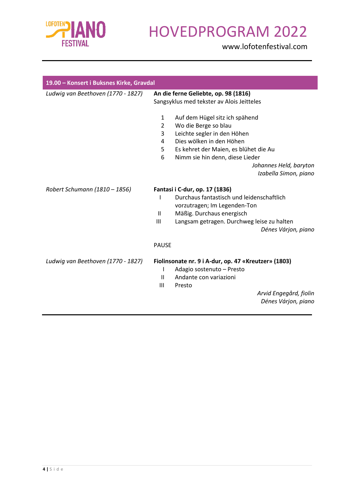

| 19.00 - Konsert i Buksnes Kirke, Gravdal |                                                                                                                                                                                                                                                                                                        |
|------------------------------------------|--------------------------------------------------------------------------------------------------------------------------------------------------------------------------------------------------------------------------------------------------------------------------------------------------------|
| Ludwig van Beethoven (1770 - 1827)       | An die ferne Geliebte, op. 98 (1816)<br>Sangsyklus med tekster av Alois Jeitteles                                                                                                                                                                                                                      |
|                                          | $\mathbf{1}$<br>Auf dem Hügel sitz ich spähend<br>$\overline{2}$<br>Wo die Berge so blau<br>Leichte segler in den Höhen<br>3<br>Dies wölken in den Höhen<br>4<br>5<br>Es kehret der Maien, es blühet die Au<br>6<br>Nimm sie hin denn, diese Lieder<br>Johannes Held, baryton<br>Izabella Simon, piano |
| Robert Schumann (1810 - 1856)            | Fantasi i C-dur, op. 17 (1836)<br>Durchaus fantastisch und leidenschaftlich<br>vorzutragen; Im Legenden-Ton<br>Mäßig. Durchaus energisch<br>$\mathbf{H}$<br>Ш<br>Langsam getragen. Durchweg leise zu halten<br>Dénes Várjon, piano                                                                     |
|                                          | <b>PAUSE</b>                                                                                                                                                                                                                                                                                           |
| Ludwig van Beethoven (1770 - 1827)       | Fiolinsonate nr. 9 i A-dur, op. 47 «Kreutzer» (1803)<br>Adagio sostenuto - Presto<br>ı<br>$\mathbf{H}$<br>Andante con variazioni<br>III<br>Presto<br>Arvid Engegård, fiolin<br>Dénes Várjon, piano                                                                                                     |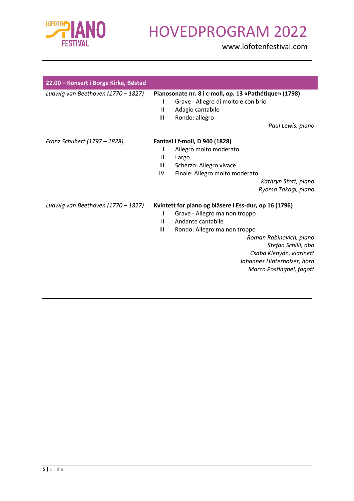

| 22.00 - Konsert i Borge Kirke, Bøstad |                              |                                                                                                                                                                                                                                                                                      |
|---------------------------------------|------------------------------|--------------------------------------------------------------------------------------------------------------------------------------------------------------------------------------------------------------------------------------------------------------------------------------|
| Ludwig van Beethoven (1770 - 1827)    | L<br>$\mathbf{H}$<br>Ш       | Pianosonate nr. 8 i c-moll, op. 13 «Pathétique» (1798)<br>Grave - Allegro di molto e con brio<br>Adagio cantabile<br>Rondo: allegro<br>Paul Lewis, piano                                                                                                                             |
| Franz Schubert (1797 - 1828)          | I<br>$\mathbf{H}$<br>Ш<br>IV | Fantasi i f-moll, D 940 (1828)<br>Allegro molto moderato<br>Largo<br>Scherzo: Allegro vivace<br>Finale: Allegro molto moderato<br>Kathryn Stott, piano<br>Ryoma Takagi, piano                                                                                                        |
| Ludwig van Beethoven (1770 - 1827)    | I<br>$\mathbf{H}$<br>III     | Kvintett for piano og blåsere i Ess-dur, op 16 (1796)<br>Grave - Allegro ma non troppo<br>Andante cantabile<br>Rondo: Allegro ma non troppo<br>Roman Rabinovich, piano<br>Stefan Schilli, obo<br>Csaba Klenyán, klarinett<br>Johannes Hinterholzer, horn<br>Marco Postinghel, fagott |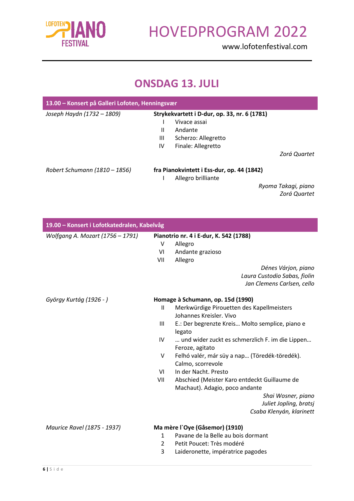

www.lofotenfestival.com

#### **ONSDAG 13. JULI**

| 13.00 – Konsert på Galleri Lofoten, Henningsvær |    |                                              |                     |
|-------------------------------------------------|----|----------------------------------------------|---------------------|
| Joseph Haydn (1732 - 1809)                      |    | Strykekvartett i D-dur, op. 33, nr. 6 (1781) |                     |
|                                                 |    | Vivace assai                                 |                     |
|                                                 | Ш  | Andante                                      |                     |
|                                                 | Ш  | Scherzo: Allegretto                          |                     |
|                                                 | IV | Finale: Allegretto                           |                     |
|                                                 |    |                                              | Zorá Quartet        |
| Robert Schumann (1810 - 1856)                   |    | fra Pianokvintett i Ess-dur, op. 44 (1842)   |                     |
|                                                 |    | Allegro brilliante                           |                     |
|                                                 |    |                                              | Ryoma Takagi, piano |
|                                                 |    |                                              | Zorá Quartet        |

| 19.00 - Konsert i Lofotkatedralen, Kabelvåg |                                        |                                                 |  |
|---------------------------------------------|----------------------------------------|-------------------------------------------------|--|
| Wolfgang A. Mozart (1756 - 1791)            | Pianotrio nr. 4 i E-dur, K. 542 (1788) |                                                 |  |
|                                             | v                                      | Allegro                                         |  |
|                                             | VI                                     | Andante grazioso                                |  |
|                                             | VII                                    | Allegro                                         |  |
|                                             |                                        | Dénes Várjon, piano                             |  |
|                                             |                                        | Laura Custodio Sabas, fiolin                    |  |
|                                             |                                        | Jan Clemens Carlsen, cello                      |  |
| György Kurtág (1926 - )                     |                                        | Homage à Schumann, op. 15d (1990)               |  |
|                                             | Ш                                      | Merkwürdige Pirouetten des Kapellmeisters       |  |
|                                             |                                        | Johannes Kreisler, Vivo                         |  |
|                                             | Ш                                      | E.: Der begrenzte Kreis Molto semplice, piano e |  |
|                                             |                                        | legato                                          |  |
|                                             | IV                                     | und wider zuckt es schmerzlich F. im die Lippen |  |
|                                             |                                        | Feroze, agitato                                 |  |
|                                             | V                                      | Felhó valér, már süy a nap (Töredék-töredék).   |  |
|                                             |                                        | Calmo, scorrevole                               |  |
|                                             | VI                                     | In der Nacht, Presto                            |  |
|                                             | VII                                    | Abschied (Meister Karo entdeckt Guillaume de    |  |
|                                             |                                        | Machaut). Adagio, poco andante                  |  |
|                                             |                                        | Shai Wosner, piano                              |  |
|                                             |                                        | Juliet Jopling, bratsj                          |  |
|                                             |                                        | Csaba Klenyán, klarinett                        |  |
| Maurice Ravel (1875 - 1937)                 |                                        | Ma mère l'Oye (Gåsemor) (1910)                  |  |
|                                             | $\mathbf{1}$                           | Pavane de la Belle au bois dormant              |  |
|                                             | $\overline{2}$                         | Petit Poucet: Très modéré                       |  |
|                                             | 3                                      | Laideronette, impératrice pagodes               |  |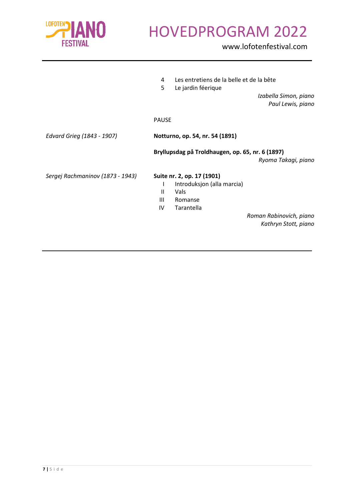

|                                  | 4            | Les entretiens de la belle et de la bête         |  |
|----------------------------------|--------------|--------------------------------------------------|--|
|                                  | 5            | Le jardin féerique                               |  |
|                                  |              | Izabella Simon, piano                            |  |
|                                  |              | Paul Lewis, piano                                |  |
|                                  | <b>PAUSE</b> |                                                  |  |
| Edvard Grieg (1843 - 1907)       |              | Notturno, op. 54, nr. 54 (1891)                  |  |
|                                  |              | Bryllupsdag på Troldhaugen, op. 65, nr. 6 (1897) |  |
|                                  |              | Ryoma Takagi, piano                              |  |
| Sergej Rachmaninov (1873 - 1943) |              | Suite nr. 2, op. 17 (1901)                       |  |
|                                  |              | Introduksjon (alla marcia)                       |  |
|                                  | Ш            | Vals                                             |  |
|                                  | Ш            | Romanse                                          |  |
|                                  | IV           | Tarantella                                       |  |
|                                  |              | Roman Rabinovich, piano                          |  |
|                                  |              | Kathryn Stott, piano                             |  |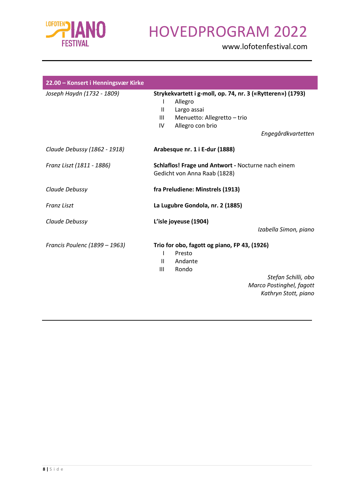

| 22.00 - Konsert i Henningsvær Kirke |                                                                                                                                                                                               |
|-------------------------------------|-----------------------------------------------------------------------------------------------------------------------------------------------------------------------------------------------|
| Joseph Haydn (1732 - 1809)          | Strykekvartett i g-moll, op. 74, nr. 3 («Rytteren») (1793)<br>Allegro<br>L<br>Largo assai<br>$\mathbf{H}$<br>Menuetto: Allegretto - trio<br>Ш<br>Allegro con brio<br>IV<br>Engegårdkvartetten |
| Claude Debussy (1862 - 1918)        | Arabesque nr. 1 i E-dur (1888)                                                                                                                                                                |
| Franz Liszt (1811 - 1886)           | Schlaflos! Frage und Antwort - Nocturne nach einem<br>Gedicht von Anna Raab (1828)                                                                                                            |
| Claude Debussy                      | fra Preludiene: Minstrels (1913)                                                                                                                                                              |
| <b>Franz Liszt</b>                  | La Lugubre Gondola, nr. 2 (1885)                                                                                                                                                              |
| Claude Debussy                      | L'isle joyeuse (1904)<br>Izabella Simon, piano                                                                                                                                                |
| Francis Poulenc (1899 - 1963)       | Trio for obo, fagott og piano, FP 43, (1926)<br>Presto<br>T<br>Andante<br>$\mathbf{H}$<br>Ш<br>Rondo<br>Stefan Schilli, obo<br>Marco Postinghel, fagott<br>Kathryn Stott, piano               |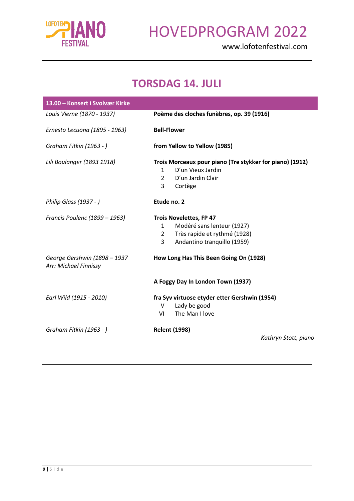

www.lofotenfestival.com

#### **TORSDAG 14. JULI**

| 13.00 - Konsert i Svolvær Kirke                       |                                                                                                                                                                 |  |  |
|-------------------------------------------------------|-----------------------------------------------------------------------------------------------------------------------------------------------------------------|--|--|
| Louis Vierne (1870 - 1937)                            | Poème des cloches funèbres, op. 39 (1916)                                                                                                                       |  |  |
| Ernesto Lecuona (1895 - 1963)                         | <b>Bell-Flower</b>                                                                                                                                              |  |  |
| Graham Fitkin (1963 - )                               | from Yellow to Yellow (1985)                                                                                                                                    |  |  |
| Lili Boulanger (1893 1918)                            | Trois Morceaux pour piano (Tre stykker for piano) (1912)<br>D'un Vieux Jardin<br>$\mathbf{1}$<br>D'un Jardin Clair<br>$\overline{2}$<br>Cortège<br>3            |  |  |
| Philip Glass (1937 - )                                | Etude no. 2                                                                                                                                                     |  |  |
| Francis Poulenc (1899 - 1963)                         | <b>Trois Novelettes, FP 47</b><br>Modéré sans lenteur (1927)<br>$\mathbf{1}$<br>Très rapide et rythmé (1928)<br>$2^{\circ}$<br>Andantino tranquillo (1959)<br>3 |  |  |
| George Gershwin (1898 - 1937<br>Arr: Michael Finnissy | How Long Has This Been Going On (1928)                                                                                                                          |  |  |
|                                                       | A Foggy Day In London Town (1937)                                                                                                                               |  |  |
| Earl Wild (1915 - 2010)                               | fra Syv virtuose etyder etter Gershwin (1954)<br>Lady be good<br>V<br>The Man I love<br>VI                                                                      |  |  |
| Graham Fitkin (1963 - )                               | <b>Relent (1998)</b><br>Kathryn Stott, piano                                                                                                                    |  |  |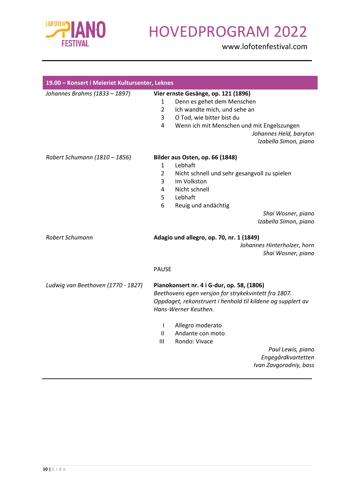

| 19.00 - Konsert i Meieriet Kultursenter, Leknes |                |                                                             |
|-------------------------------------------------|----------------|-------------------------------------------------------------|
| Johannes Brahms (1833 - 1897)                   |                | Vier ernste Gesänge, op. 121 (1896)                         |
|                                                 | $\mathbf{1}$   | Denn es gehet dem Menschen                                  |
|                                                 | $\overline{2}$ | Ich wandte mich, und sehe an                                |
|                                                 | 3              | O Tod, wie bitter bist du                                   |
|                                                 | 4              | Wenn ich mit Menschen und mit Engelszungen                  |
|                                                 |                | Johannes Held, baryton                                      |
|                                                 |                | Izabella Simon, piano                                       |
| Robert Schumann (1810 - 1856)                   |                | Bilder aus Osten, op. 66 (1848)                             |
|                                                 | $\mathbf{1}$   | Lebhaft                                                     |
|                                                 | $\overline{2}$ | Nicht schnell und sehr gesangvoll zu spielen                |
|                                                 | 3              | Im Volkston                                                 |
|                                                 | 4              | Nicht schnell                                               |
|                                                 | 5              | Lebhaft                                                     |
|                                                 | 6              | Reuig und andächtig                                         |
|                                                 |                | Shai Wosner, piano                                          |
|                                                 |                | Izabella Simon, piano                                       |
| <b>Robert Schumann</b>                          |                | Adagio und allegro, op. 70, nr. 1 (1849)                    |
|                                                 |                | Johannes Hinterholzer, horn                                 |
|                                                 |                | Shai Wosner, piano                                          |
|                                                 | <b>PAUSE</b>   |                                                             |
| Ludwig van Beethoven (1770 - 1827)              |                | Pianokonsert nr. 4 i G-dur, op. 58, (1806)                  |
|                                                 |                | Beethovens egen versjon for strykekvintett fra 1807.        |
|                                                 |                | Oppdaget, rekonstruert i henhold til kildene og supplert av |
|                                                 |                | Hans-Werner Keuthen.                                        |
|                                                 | T              | Allegro moderato                                            |
|                                                 | $\mathbf{II}$  | Andante con moto                                            |
|                                                 | III            | Rondo: Vivace                                               |
|                                                 |                | Paul Lewis, piano                                           |
|                                                 |                | Engegårdkvartetten                                          |
|                                                 |                | Ivan Zavgorodniy, bass                                      |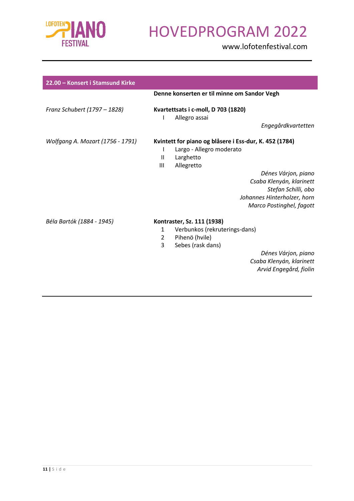

| 22.00 - Konsert i Stamsund Kirke |                                                                                                                                                                                                                                                                              |
|----------------------------------|------------------------------------------------------------------------------------------------------------------------------------------------------------------------------------------------------------------------------------------------------------------------------|
|                                  | Denne konserten er til minne om Sandor Vegh                                                                                                                                                                                                                                  |
| Franz Schubert (1797 - 1828)     | Kvartettsats i c-moll, D 703 (1820)<br>Allegro assai<br>L<br>Engegårdkvartetten                                                                                                                                                                                              |
| Wolfgang A. Mozart (1756 - 1791) | Kvintett for piano og blåsere i Ess-dur, K. 452 (1784)<br>Largo - Allegro moderato<br>L<br>$\mathbf{H}$<br>Larghetto<br>Ш<br>Allegretto<br>Dénes Várjon, piano<br>Csaba Klenyán, klarinett<br>Stefan Schilli, obo<br>Johannes Hinterholzer, horn<br>Marco Postinghel, fagott |
| Béla Bartók (1884 - 1945)        | Kontraster, Sz. 111 (1938)<br>Verbunkos (rekruterings-dans)<br>$\mathbf{1}$<br>Pihenö (hvile)<br>$\overline{2}$<br>3<br>Sebes (rask dans)<br>Dénes Várjon, piano<br>Csaba Klenyán, klarinett<br>Arvid Engegård, fiolin                                                       |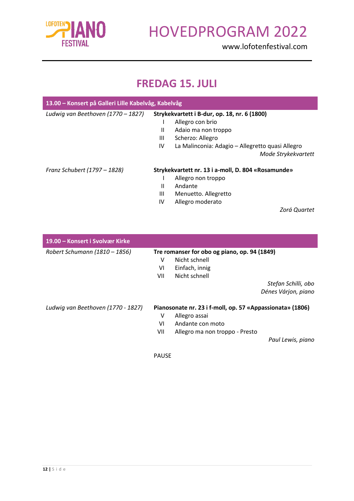

www.lofotenfestival.com

#### **FREDAG 15. JULI**

| 13.00 – Konsert på Galleri Lille Kabelvåg, Kabelvåg |                                              |                                                    |
|-----------------------------------------------------|----------------------------------------------|----------------------------------------------------|
| Ludwig van Beethoven (1770 – 1827)                  | Strykekvartett i B-dur, op. 18, nr. 6 (1800) |                                                    |
|                                                     |                                              | Allegro con brio                                   |
|                                                     | $\mathbf{I}$                                 | Adaio ma non troppo                                |
|                                                     | Ш                                            | Scherzo: Allegro                                   |
|                                                     | IV                                           | La Malinconia: Adagio – Allegretto quasi Allegro   |
|                                                     |                                              | Mode Strykekvartett                                |
| Franz Schubert (1797 – 1828)                        |                                              | Strykekvartett nr. 13 i a-moll, D. 804 «Rosamunde» |
|                                                     |                                              | Allegro non troppo                                 |
|                                                     | Ш                                            | Andante                                            |
|                                                     | Ш                                            | Menuetto. Allegretto                               |
|                                                     | IV                                           | Allegro moderato                                   |

*Zorá Quartet*

| 19.00 – Konsert i Svolvær Kirke    |                                                           |                                |  |  |
|------------------------------------|-----------------------------------------------------------|--------------------------------|--|--|
| Robert Schumann (1810 - 1856)      | Tre romanser for obo og piano, op. 94 (1849)              |                                |  |  |
|                                    | v                                                         | Nicht schnell                  |  |  |
|                                    | VI                                                        | Einfach, innig                 |  |  |
|                                    | VII                                                       | Nicht schnell                  |  |  |
|                                    |                                                           | Stefan Schilli, obo            |  |  |
|                                    |                                                           | Dénes Várjon, piano            |  |  |
| Ludwig van Beethoven (1770 - 1827) | Pianosonate nr. 23 i f-moll, op. 57 «Appassionata» (1806) |                                |  |  |
|                                    | ٧                                                         | Allegro assai                  |  |  |
|                                    | VI                                                        | Andante con moto               |  |  |
|                                    | VII                                                       | Allegro ma non troppo - Presto |  |  |
|                                    |                                                           | Paul Lewis, piano              |  |  |

PAUSE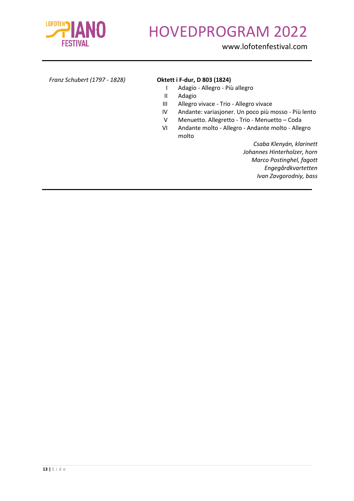

www.lofotenfestival.com

| Franz Schubert (1797 - 1828) |  |  |
|------------------------------|--|--|
|------------------------------|--|--|

#### *Franz Schubert (1797 - 1828)* **Oktett i F-dur, D 803 (1824)**

- I Adagio Allegro Più allegro
- II Adagio
- III Allegro vivace Trio Allegro vivace
- IV Andante: variasjoner. Un poco più mosso Più lento
- V Menuetto. Allegretto Trio Menuetto Coda
- VI Andante molto Allegro Andante molto Allegro molto

*Csaba Klenyán, klarinett Johannes Hinterholzer, horn Marco Postinghel, fagott Engegårdkvartetten Ivan Zavgorodniy, bass*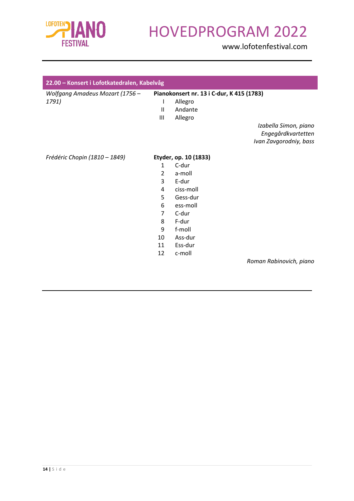

| 22.00 - Konsert i Lofotkatedralen, Kabelvåg |                                           |                       |                         |  |  |
|---------------------------------------------|-------------------------------------------|-----------------------|-------------------------|--|--|
| Wolfgang Amadeus Mozart (1756 -             | Pianokonsert nr. 13 i C-dur, K 415 (1783) |                       |                         |  |  |
| 1791)                                       | T                                         | Allegro               |                         |  |  |
|                                             | $\mathbf{H}$                              | Andante               |                         |  |  |
|                                             | Ш                                         | Allegro               |                         |  |  |
|                                             |                                           |                       | Izabella Simon, piano   |  |  |
|                                             |                                           |                       | Engegårdkvartetten      |  |  |
|                                             |                                           |                       | Ivan Zavgorodniy, bass  |  |  |
| Frédéric Chopin (1810 – 1849)               |                                           | Etyder, op. 10 (1833) |                         |  |  |
|                                             | $\mathbf{1}$                              | C-dur                 |                         |  |  |
|                                             | $\overline{2}$                            | a-moll                |                         |  |  |
|                                             | 3                                         | E-dur                 |                         |  |  |
|                                             | 4                                         | ciss-moll             |                         |  |  |
|                                             | 5                                         | Gess-dur              |                         |  |  |
|                                             | 6                                         | ess-moll              |                         |  |  |
|                                             | 7                                         | C-dur                 |                         |  |  |
|                                             | 8                                         | F-dur                 |                         |  |  |
|                                             | 9                                         | f-moll                |                         |  |  |
|                                             | 10                                        | Ass-dur               |                         |  |  |
|                                             | 11                                        | Ess-dur               |                         |  |  |
|                                             | 12                                        | c-moll                |                         |  |  |
|                                             |                                           |                       | Roman Rabinovich, piano |  |  |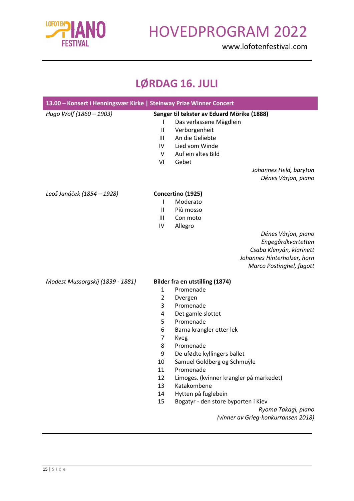

www.lofotenfestival.com

#### **LØRDAG 16. JULI**

| 13.00 - Konsert i Henningsvær Kirke   Steinway Prize Winner Concert |                                                                                          |                                                                                                                                                                                                                                                                                                                                                                                                                          |
|---------------------------------------------------------------------|------------------------------------------------------------------------------------------|--------------------------------------------------------------------------------------------------------------------------------------------------------------------------------------------------------------------------------------------------------------------------------------------------------------------------------------------------------------------------------------------------------------------------|
| Hugo Wolf (1860 - 1903)                                             | I<br>$\sf II$<br>Ш<br>IV<br>V<br>VI                                                      | Sanger til tekster av Eduard Mörike (1888)<br>Das verlassene Mägdlein<br>Verborgenheit<br>An die Geliebte<br>Lied vom Winde<br>Auf ein altes Bild<br>Gebet<br>Johannes Held, baryton<br>Dénes Várjon, piano                                                                                                                                                                                                              |
| Leoš Janáček (1854 – 1928)                                          | I<br>Ш<br>Ш<br>IV                                                                        | Concertino (1925)<br>Moderato<br>Più mosso<br>Con moto<br>Allegro<br>Dénes Várjon, piano<br>Engegårdkvartetten<br>Csaba Klenyán, klarinett<br>Johannes Hinterholzer, horn<br>Marco Postinghel, fagott                                                                                                                                                                                                                    |
| Modest Mussorgskij (1839 - 1881)                                    | $\mathbf{1}$<br>2<br>3<br>4<br>5<br>6<br>7<br>8<br>9<br>10<br>11<br>12<br>13<br>14<br>15 | Bilder fra en utstilling (1874)<br>Promenade<br>Dvergen<br>Promenade<br>Det gamle slottet<br>Promenade<br>Barna krangler etter lek<br>Kveg<br>Promenade<br>De ufødte kyllingers ballet<br>Samuel Goldberg og Schmuÿle<br>Promenade<br>Limoges. (kvinner krangler på markedet)<br>Katakombene<br>Hytten på fuglebein<br>Bogatyr - den store byporten i Kiev<br>Ryoma Takagi, piano<br>(vinner av Grieg-konkurransen 2018) |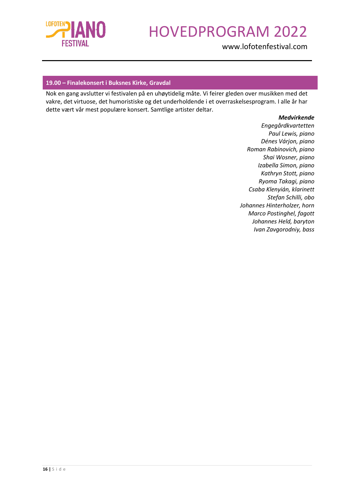

www.lofotenfestival.com

#### **19.00 – Finalekonsert i Buksnes Kirke, Gravdal**

Nok en gang avslutter vi festivalen på en uhøytidelig måte. Vi feirer gleden over musikken med det vakre, det virtuose, det humoristiske og det underholdende i et overraskelsesprogram. I alle år har dette vært vår mest populære konsert. Samtlige artister deltar.

*Medvirkende*

*Engegårdkvartetten Paul Lewis, piano Dénes Várjon, piano Roman Rabinovich, piano Shai Wosner, piano Izabella Simon, piano Kathryn Stott, piano Ryoma Takagi, piano Csaba Klenyián, klarinett Stefan Schilli, obo Johannes Hinterholzer, horn Marco Postinghel, fagott Johannes Held, baryton Ivan Zavgorodniy, bass*